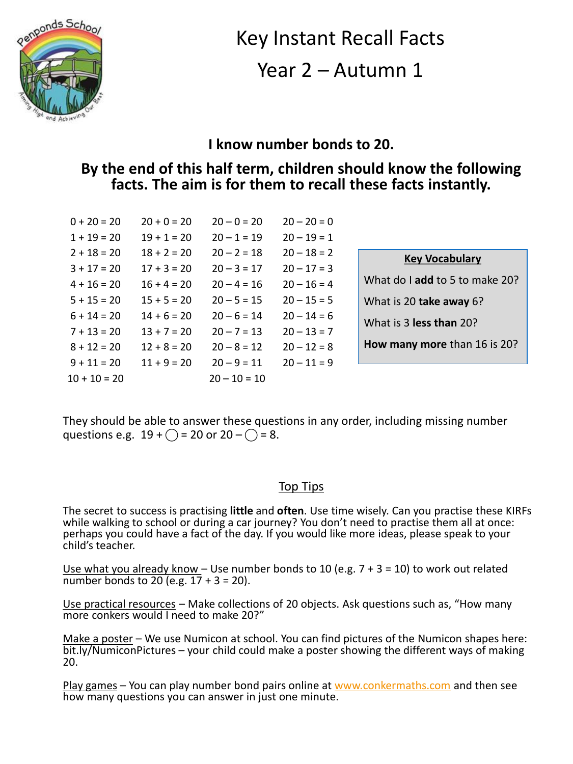

# Key Instant Recall Facts Year 2 – Autumn 1

#### **I know number bonds to 20.**

#### **By the end of this half term, children should know the following facts. The aim is for them to recall these facts instantly.**

| $0 + 20 = 20$  | $20 + 0 = 20$ | $20 - 0 = 20$  | $20 - 20 = 0$ |
|----------------|---------------|----------------|---------------|
| $1 + 19 = 20$  | $19 + 1 = 20$ | $20 - 1 = 19$  | $20 - 19 = 1$ |
| $2 + 18 = 20$  | $18 + 2 = 20$ | $20 - 2 = 18$  | $20 - 18 = 2$ |
| $3 + 17 = 20$  | $17 + 3 = 20$ | $20 - 3 = 17$  | $20 - 17 = 3$ |
| $4 + 16 = 20$  | $16 + 4 = 20$ | $20 - 4 = 16$  | $20 - 16 = 4$ |
| $5 + 15 = 20$  | $15 + 5 = 20$ | $20 - 5 = 15$  | $20 - 15 = 5$ |
| $6 + 14 = 20$  | $14 + 6 = 20$ | $20 - 6 = 14$  | $20 - 14 = 6$ |
| $7 + 13 = 20$  | $13 + 7 = 20$ | $20 - 7 = 13$  | $20 - 13 = 7$ |
| $8 + 12 = 20$  | $12 + 8 = 20$ | $20 - 8 = 12$  | $20 - 12 = 8$ |
| $9 + 11 = 20$  | $11 + 9 = 20$ | $20 - 9 = 11$  | $20 - 11 = 9$ |
| $10 + 10 = 20$ |               | $20 - 10 = 10$ |               |

| <b>Key Vocabulary</b>          |
|--------------------------------|
| What do I add to 5 to make 20? |
| What is 20 take away 6?        |
| What is 3 less than 20?        |
| How many more than 16 is 20?   |

They should be able to answer these questions in any order, including missing number questions e.g.  $19 + \bigcirc = 20$  or  $20 - \bigcirc = 8$ .

#### Top Tips

The secret to success is practising **little** and **often**. Use time wisely. Can you practise these KIRFs while walking to school or during a car journey? You don't need to practise them all at once: perhaps you could have a fact of the day. If you would like more ideas, please speak to your child's teacher.

Use what you already know - Use number bonds to 10 (e.g.  $7 + 3 = 10$ ) to work out related number bonds to 20 (e.g.  $17 + 3 = 20$ ).

Use practical resources – Make collections of 20 objects. Ask questions such as, "How many more conkers would I need to make 20?"

Make a poster – We use Numicon at school. You can find pictures of the Numicon shapes here: bit.ly/NumiconPictures – your child could make a poster showing the different ways of making 20.

Play games – You can play number bond pairs online at [www.conkermaths.com](http://www.conkermaths.com/) and then see how many questions you can answer in just one minute.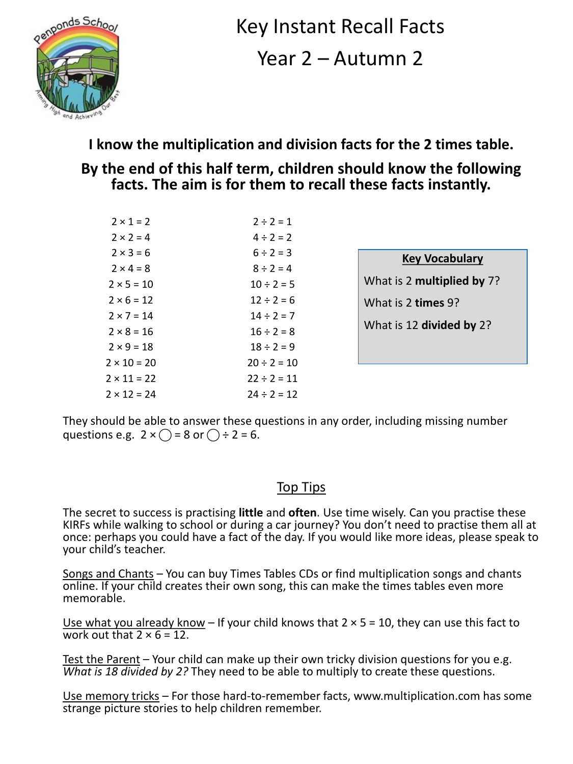

Key Instant Recall Facts Year 2 – Autumn 2

**I know the multiplication and division facts for the 2 times table.**

### **By the end of this half term, children should know the following facts. The aim is for them to recall these facts instantly.**

| $2 \times 1 = 2$   | $2 \div 2 = 1$   |
|--------------------|------------------|
| $2 \times 2 = 4$   | $4 \div 2 = 2$   |
| $2 \times 3 = 6$   | $6 \div 2 = 3$   |
| $2 \times 4 = 8$   | $8 \div 2 = 4$   |
| $2 \times 5 = 10$  | $10 \div 2 = 5$  |
| $2 \times 6 = 12$  | $12 \div 2 = 6$  |
| $2 \times 7 = 14$  | $14 \div 2 = 7$  |
| $2 \times 8 = 16$  | $16 \div 2 = 8$  |
| $2 \times 9 = 18$  | $18 \div 2 = 9$  |
| $2 \times 10 = 20$ | $20 \div 2 = 10$ |
| $2 \times 11 = 22$ | $22 \div 2 = 11$ |
| $2 \times 12 = 24$ | $24 \div 2 = 12$ |

| <b>Key Vocabulary</b> |  |
|-----------------------|--|
|                       |  |

What is 2 **multiplied by** 7? What is 2 **times** 9?

What is 12 **divided by** 2?

They should be able to answer these questions in any order, including missing number questions e.g.  $2 \times \bigcap = 8$  or  $\bigcap \div 2 = 6$ .

#### Top Tips

The secret to success is practising **little** and **often**. Use time wisely. Can you practise these KIRFs while walking to school or during a car journey? You don't need to practise them all at once: perhaps you could have a fact of the day. If you would like more ideas, please speak to your child's teacher.

Songs and Chants – You can buy Times Tables CDs or find multiplication songs and chants online. If your child creates their own song, this can make the times tables even more memorable.

Use what you already know - If your child knows that  $2 \times 5 = 10$ , they can use this fact to work out that  $2 \times 6 = 12$ .

Test the Parent – Your child can make up their own tricky division questions for you e.g. *What is 18 divided by 2?* They need to be able to multiply to create these questions.

Use memory tricks – For those hard-to-remember facts, www.multiplication.com has some strange picture stories to help children remember.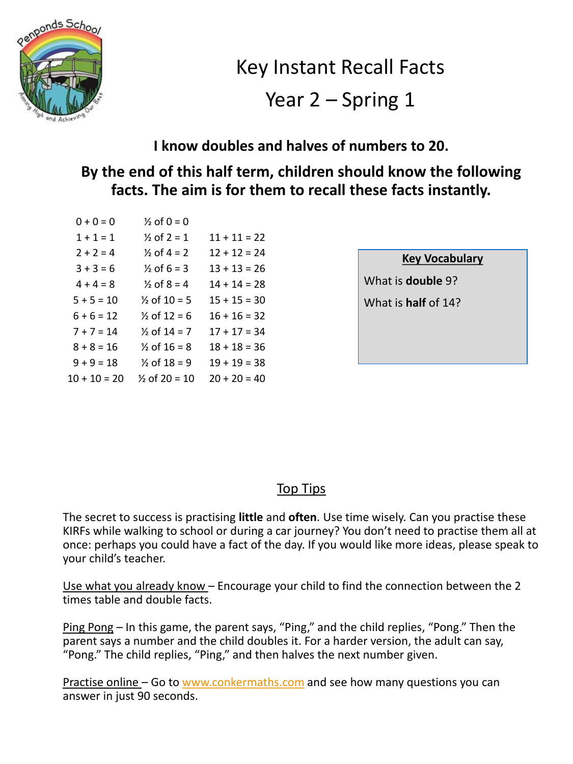

Key Instant Recall Facts

# Year 2 – Spring 1

### **I know doubles and halves of numbers to 20.**

# **By the end of this half term, children should know the following facts. The aim is for them to recall these facts instantly.**

| $0 + 0 = 0$    | $\frac{1}{2}$ of 0 = 0   |                |
|----------------|--------------------------|----------------|
| $1 + 1 = 1$    | $\frac{1}{2}$ of 2 = 1   | $11 + 11 = 22$ |
| $2 + 2 = 4$    | $\frac{1}{2}$ of 4 = 2   | $12 + 12 = 24$ |
| $3 + 3 = 6$    | $\frac{1}{2}$ of 6 = 3   | $13 + 13 = 26$ |
| $4 + 4 = 8$    | $\frac{1}{2}$ of 8 = 4   | $14 + 14 = 28$ |
| $5 + 5 = 10$   | $\frac{1}{2}$ of 10 = 5  | $15 + 15 = 30$ |
| $6 + 6 = 12$   | $\frac{1}{2}$ of 12 = 6  | $16 + 16 = 32$ |
| $7 + 7 = 14$   | $\frac{1}{2}$ of 14 = 7  | $17 + 17 = 34$ |
| $8 + 8 = 16$   | $\frac{1}{2}$ of 16 = 8  | $18 + 18 = 36$ |
| $9 + 9 = 18$   | $\frac{1}{2}$ of 18 = 9  | $19 + 19 = 38$ |
| $10 + 10 = 20$ | $\frac{1}{2}$ of 20 = 10 | $20 + 20 = 40$ |

| <b>Kev Vocabulary</b> |
|-----------------------|
|-----------------------|

What is **double** 9?

What is **half** of 14?

#### **Top Tips**

The secret to success is practising **little** and **often**. Use time wisely. Can you practise these KIRFs while walking to school or during a car journey? You don't need to practise them all at once: perhaps you could have a fact of the day. If you would like more ideas, please speak to your child's teacher.

Use what you already know – Encourage your child to find the connection between the 2 times table and double facts.

Ping Pong – In this game, the parent says, "Ping," and the child replies, "Pong." Then the parent says a number and the child doubles it. For a harder version, the adult can say, "Pong." The child replies, "Ping," and then halves the next number given.

Practise online – Go to [www.conkermaths.com](http://www.conkermaths.com/) and see how many questions you can answer in just 90 seconds.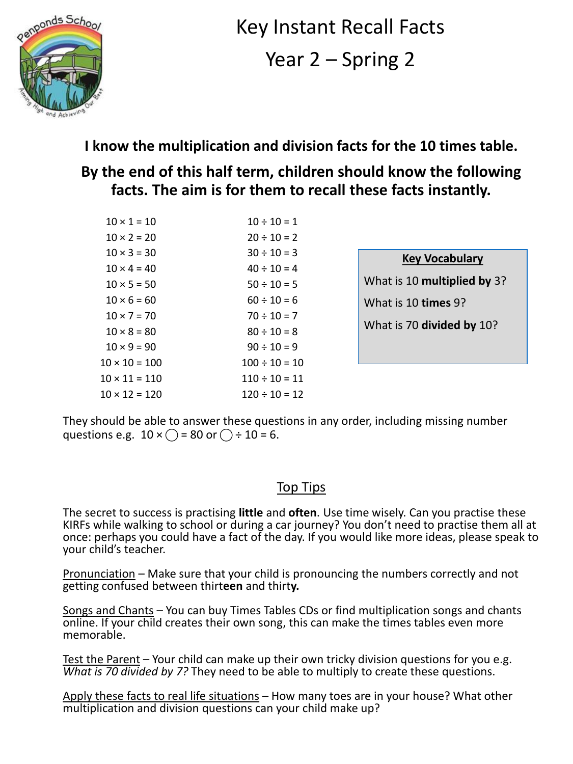

Key Instant Recall Facts Year 2 – Spring 2

# **I know the multiplication and division facts for the 10 times table.**

# **By the end of this half term, children should know the following facts. The aim is for them to recall these facts instantly.**

| $10 \times 1 = 10$   | $10 \div 10 = 1$   |
|----------------------|--------------------|
| $10 \times 2 = 20$   | $20 \div 10 = 2$   |
| $10 \times 3 = 30$   | $30 \div 10 = 3$   |
| $10 \times 4 = 40$   | $40 \div 10 = 4$   |
| $10 \times 5 = 50$   | $50 \div 10 = 5$   |
| $10 \times 6 = 60$   | $60 \div 10 = 6$   |
| $10 \times 7 = 70$   | $70 \div 10 = 7$   |
| $10 \times 8 = 80$   | $80 \div 10 = 8$   |
| $10 \times 9 = 90$   | $90 \div 10 = 9$   |
| $10 \times 10 = 100$ | $100 \div 10 = 10$ |
| $10 \times 11 = 110$ | $110 \div 10 = 11$ |
| $10 \times 12 = 120$ | $120 \div 10 = 12$ |

| <b>Key Vocabulary</b>       |
|-----------------------------|
| What is 10 multiplied by 3? |
| What is 10 times 9?         |
| What is 70 divided by 10?   |
|                             |

They should be able to answer these questions in any order, including missing number questions e.g.  $10 \times \bigcap$  = 80 or  $\bigcap \div 10 = 6$ .

#### Top Tips

The secret to success is practising **little** and **often**. Use time wisely. Can you practise these KIRFs while walking to school or during a car journey? You don't need to practise them all at once: perhaps you could have a fact of the day. If you would like more ideas, please speak to your child's teacher.

Pronunciation – Make sure that your child is pronouncing the numbers correctly and not getting confused between thirt**een** and thirt**y.**

Songs and Chants - You can buy Times Tables CDs or find multiplication songs and chants online. If your child creates their own song, this can make the times tables even more memorable.

Test the Parent – Your child can make up their own tricky division questions for you e.g. *What is 70 divided by 7?* They need to be able to multiply to create these questions.

Apply these facts to real life situations – How many toes are in your house? What other multiplication and division questions can your child make up?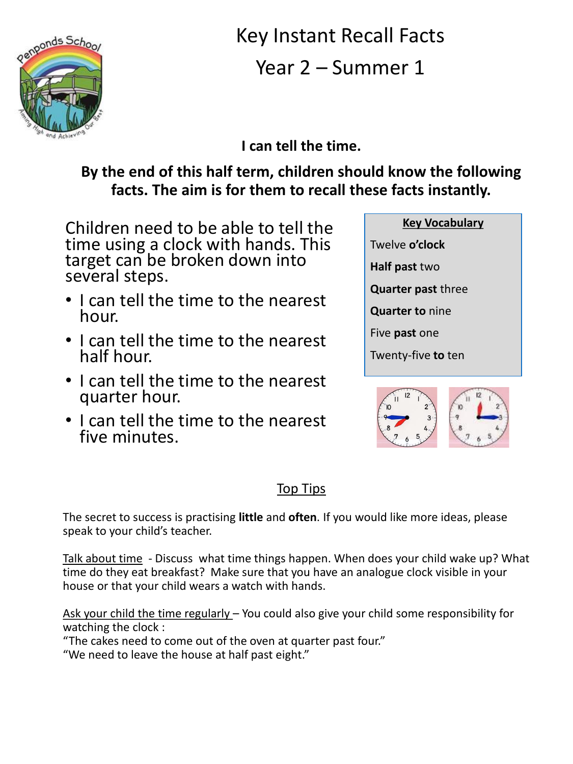

Key Instant Recall Facts Year 2 – Summer 1

**I can tell the time.**

# **By the end of this half term, children should know the following facts. The aim is for them to recall these facts instantly.**

Children need to be able to tell the time using a clock with hands. This target can be broken down into several steps.

- I can tell the time to the nearest hour.
- I can tell the time to the nearest half hour.
- I can tell the time to the nearest quarter hour.
- I can tell the time to the nearest five minutes.





# **Top Tips**

The secret to success is practising **little** and **often**. If you would like more ideas, please speak to your child's teacher.

Talk about time - Discuss what time things happen. When does your child wake up? What time do they eat breakfast? Make sure that you have an analogue clock visible in your house or that your child wears a watch with hands.

Ask your child the time regularly – You could also give your child some responsibility for watching the clock :

"The cakes need to come out of the oven at quarter past four."

"We need to leave the house at half past eight."